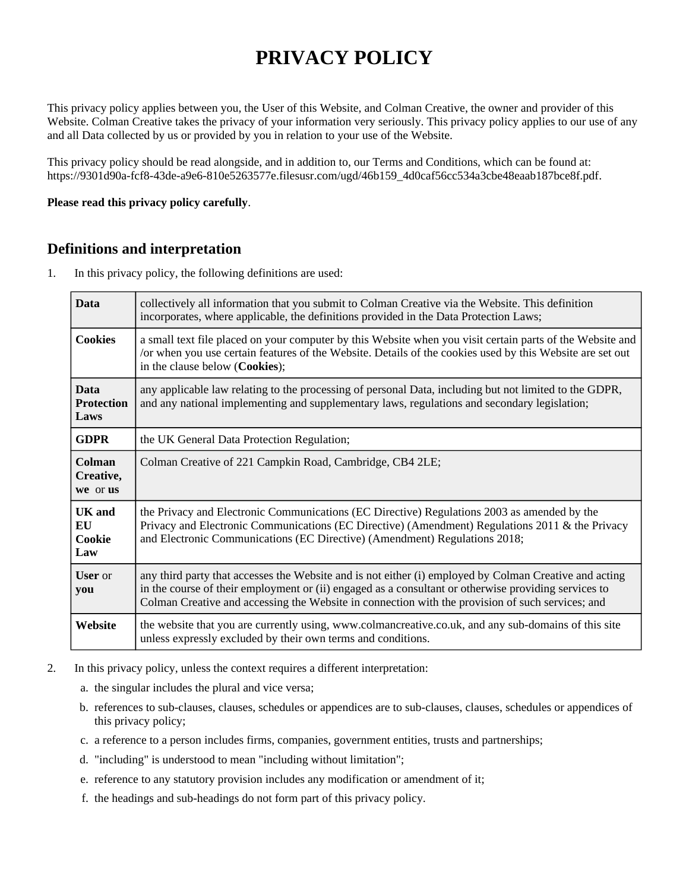# **PRIVACY POLICY**

This privacy policy applies between you, the User of this Website, and Colman Creative, the owner and provider of this Website. Colman Creative takes the privacy of your information very seriously. This privacy policy applies to our use of any and all Data collected by us or provided by you in relation to your use of the Website.

This privacy policy should be read alongside, and in addition to, our Terms and Conditions, which can be found at: https://9301d90a-fcf8-43de-a9e6-810e5263577e.filesusr.com/ugd/46b159\_4d0caf56cc534a3cbe48eaab187bce8f.pdf.

#### **Please read this privacy policy carefully**.

### **Definitions and interpretation**

1. In this privacy policy, the following definitions are used:

| <b>Data</b>                              | collectively all information that you submit to Colman Creative via the Website. This definition<br>incorporates, where applicable, the definitions provided in the Data Protection Laws;                                                                                                                          |
|------------------------------------------|--------------------------------------------------------------------------------------------------------------------------------------------------------------------------------------------------------------------------------------------------------------------------------------------------------------------|
| <b>Cookies</b>                           | a small text file placed on your computer by this Website when you visit certain parts of the Website and<br>/or when you use certain features of the Website. Details of the cookies used by this Website are set out<br>in the clause below (Cookies);                                                           |
| <b>Data</b><br><b>Protection</b><br>Laws | any applicable law relating to the processing of personal Data, including but not limited to the GDPR,<br>and any national implementing and supplementary laws, regulations and secondary legislation;                                                                                                             |
| <b>GDPR</b>                              | the UK General Data Protection Regulation;                                                                                                                                                                                                                                                                         |
| Colman<br>Creative,<br>we or us          | Colman Creative of 221 Campkin Road, Cambridge, CB4 2LE;                                                                                                                                                                                                                                                           |
| UK and<br>EU<br>Cookie<br>Law            | the Privacy and Electronic Communications (EC Directive) Regulations 2003 as amended by the<br>Privacy and Electronic Communications (EC Directive) (Amendment) Regulations 2011 & the Privacy<br>and Electronic Communications (EC Directive) (Amendment) Regulations 2018;                                       |
| <b>User</b> or<br>you                    | any third party that accesses the Website and is not either (i) employed by Colman Creative and acting<br>in the course of their employment or (ii) engaged as a consultant or otherwise providing services to<br>Colman Creative and accessing the Website in connection with the provision of such services; and |
| Website                                  | the website that you are currently using, www.colmancreative.co.uk, and any sub-domains of this site<br>unless expressly excluded by their own terms and conditions.                                                                                                                                               |

- 2. In this privacy policy, unless the context requires a different interpretation:
	- a. the singular includes the plural and vice versa;
	- b. references to sub-clauses, clauses, schedules or appendices are to sub-clauses, clauses, schedules or appendices of this privacy policy;
	- c. a reference to a person includes firms, companies, government entities, trusts and partnerships;
	- d. "including" is understood to mean "including without limitation";
	- e. reference to any statutory provision includes any modification or amendment of it;
	- f. the headings and sub-headings do not form part of this privacy policy.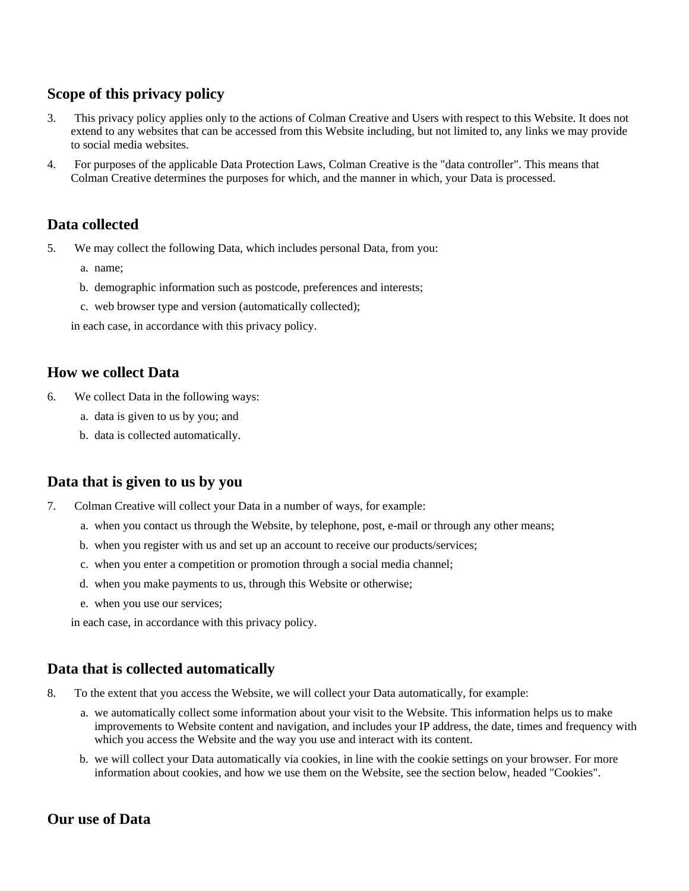# **Scope of this privacy policy**

- 3. This privacy policy applies only to the actions of Colman Creative and Users with respect to this Website. It does not extend to any websites that can be accessed from this Website including, but not limited to, any links we may provide to social media websites.
- 4. For purposes of the applicable Data Protection Laws, Colman Creative is the "data controller". This means that Colman Creative determines the purposes for which, and the manner in which, your Data is processed.

### **Data collected**

- 5. We may collect the following Data, which includes personal Data, from you:
	- a. name;
	- b. demographic information such as postcode, preferences and interests;
	- c. web browser type and version (automatically collected);

in each case, in accordance with this privacy policy.

#### **How we collect Data**

- 6. We collect Data in the following ways:
	- a. data is given to us by you; and
	- b. data is collected automatically.

### **Data that is given to us by you**

- 7. Colman Creative will collect your Data in a number of ways, for example:
	- a. when you contact us through the Website, by telephone, post, e-mail or through any other means;
	- b. when you register with us and set up an account to receive our products/services;
	- c. when you enter a competition or promotion through a social media channel;
	- d. when you make payments to us, through this Website or otherwise;
	- e. when you use our services;

in each case, in accordance with this privacy policy.

#### **Data that is collected automatically**

- 8. To the extent that you access the Website, we will collect your Data automatically, for example:
	- a. we automatically collect some information about your visit to the Website. This information helps us to make improvements to Website content and navigation, and includes your IP address, the date, times and frequency with which you access the Website and the way you use and interact with its content.
	- b. we will collect your Data automatically via cookies, in line with the cookie settings on your browser. For more information about cookies, and how we use them on the Website, see the section below, headed "Cookies".

#### **Our use of Data**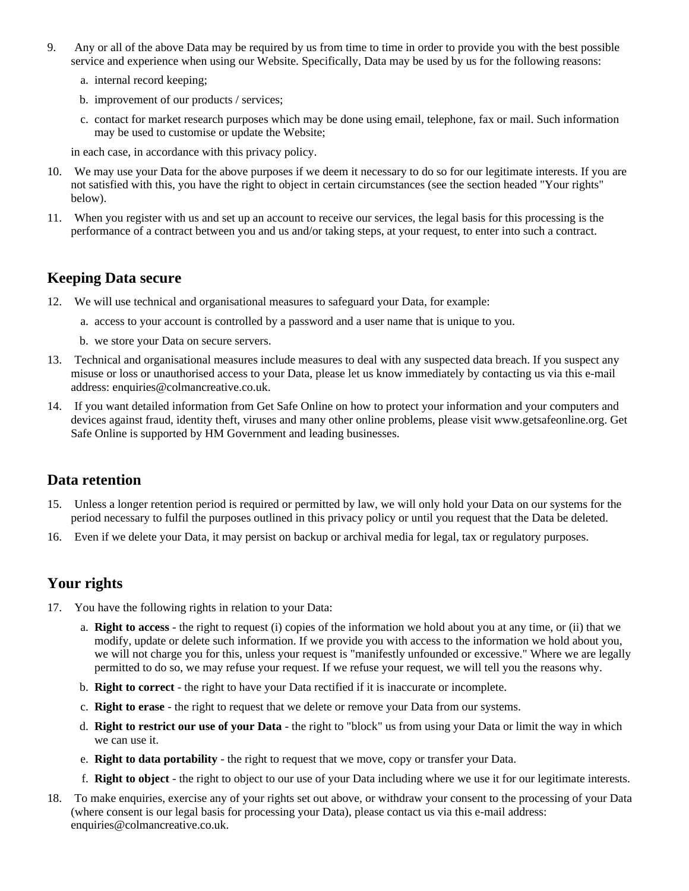- 9. Any or all of the above Data may be required by us from time to time in order to provide you with the best possible service and experience when using our Website. Specifically, Data may be used by us for the following reasons:
	- a. internal record keeping;
	- b. improvement of our products / services;
	- c. contact for market research purposes which may be done using email, telephone, fax or mail. Such information may be used to customise or update the Website;

in each case, in accordance with this privacy policy.

- 10. We may use your Data for the above purposes if we deem it necessary to do so for our legitimate interests. If you are not satisfied with this, you have the right to object in certain circumstances (see the section headed "Your rights" below).
- 11. When you register with us and set up an account to receive our services, the legal basis for this processing is the performance of a contract between you and us and/or taking steps, at your request, to enter into such a contract.

#### **Keeping Data secure**

- 12. We will use technical and organisational measures to safeguard your Data, for example:
	- a. access to your account is controlled by a password and a user name that is unique to you.
	- b. we store your Data on secure servers.
- 13. Technical and organisational measures include measures to deal with any suspected data breach. If you suspect any misuse or loss or unauthorised access to your Data, please let us know immediately by contacting us via this e-mail address: enquiries@colmancreative.co.uk.
- 14. If you want detailed information from Get Safe Online on how to protect your information and your computers and devices against fraud, identity theft, viruses and many other online problems, please visit www.getsafeonline.org. Get Safe Online is supported by HM Government and leading businesses.

#### **Data retention**

- 15. Unless a longer retention period is required or permitted by law, we will only hold your Data on our systems for the period necessary to fulfil the purposes outlined in this privacy policy or until you request that the Data be deleted.
- 16. Even if we delete your Data, it may persist on backup or archival media for legal, tax or regulatory purposes.

# **Your rights**

- 17. You have the following rights in relation to your Data:
	- a. **Right to access** the right to request (i) copies of the information we hold about you at any time, or (ii) that we modify, update or delete such information. If we provide you with access to the information we hold about you, we will not charge you for this, unless your request is "manifestly unfounded or excessive." Where we are legally permitted to do so, we may refuse your request. If we refuse your request, we will tell you the reasons why.
	- b. **Right to correct** the right to have your Data rectified if it is inaccurate or incomplete.
	- c. **Right to erase** the right to request that we delete or remove your Data from our systems.
	- d. **Right to restrict our use of your Data** the right to "block" us from using your Data or limit the way in which we can use it.
	- e. **Right to data portability** the right to request that we move, copy or transfer your Data.
	- f. **Right to object** the right to object to our use of your Data including where we use it for our legitimate interests.
- 18. To make enquiries, exercise any of your rights set out above, or withdraw your consent to the processing of your Data (where consent is our legal basis for processing your Data), please contact us via this e-mail address: enquiries@colmancreative.co.uk.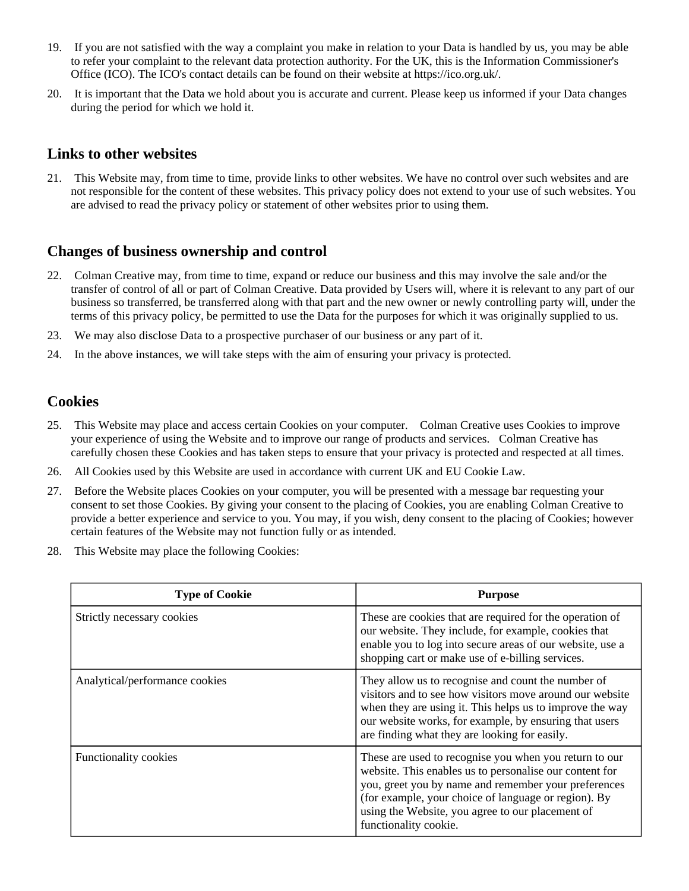- 19. If you are not satisfied with the way a complaint you make in relation to your Data is handled by us, you may be able to refer your complaint to the relevant data protection authority. For the UK, this is the Information Commissioner's Office (ICO). The ICO's contact details can be found on their website at https://ico.org.uk/.
- 20. It is important that the Data we hold about you is accurate and current. Please keep us informed if your Data changes during the period for which we hold it.

#### **Links to other websites**

21. This Website may, from time to time, provide links to other websites. We have no control over such websites and are not responsible for the content of these websites. This privacy policy does not extend to your use of such websites. You are advised to read the privacy policy or statement of other websites prior to using them.

#### **Changes of business ownership and control**

- 22. Colman Creative may, from time to time, expand or reduce our business and this may involve the sale and/or the transfer of control of all or part of Colman Creative. Data provided by Users will, where it is relevant to any part of our business so transferred, be transferred along with that part and the new owner or newly controlling party will, under the terms of this privacy policy, be permitted to use the Data for the purposes for which it was originally supplied to us.
- 23. We may also disclose Data to a prospective purchaser of our business or any part of it.
- 24. In the above instances, we will take steps with the aim of ensuring your privacy is protected.

### **Cookies**

- 25. This Website may place and access certain Cookies on your computer. Colman Creative uses Cookies to improve your experience of using the Website and to improve our range of products and services. Colman Creative has carefully chosen these Cookies and has taken steps to ensure that your privacy is protected and respected at all times.
- 26. All Cookies used by this Website are used in accordance with current UK and EU Cookie Law.
- 27. Before the Website places Cookies on your computer, you will be presented with a message bar requesting your consent to set those Cookies. By giving your consent to the placing of Cookies, you are enabling Colman Creative to provide a better experience and service to you. You may, if you wish, deny consent to the placing of Cookies; however certain features of the Website may not function fully or as intended.
- 28. This Website may place the following Cookies:

| <b>Type of Cookie</b>          | <b>Purpose</b>                                                                                                                                                                                                                                                                                                 |
|--------------------------------|----------------------------------------------------------------------------------------------------------------------------------------------------------------------------------------------------------------------------------------------------------------------------------------------------------------|
| Strictly necessary cookies     | These are cookies that are required for the operation of<br>our website. They include, for example, cookies that<br>enable you to log into secure areas of our website, use a<br>shopping cart or make use of e-billing services.                                                                              |
| Analytical/performance cookies | They allow us to recognise and count the number of<br>visitors and to see how visitors move around our website<br>when they are using it. This helps us to improve the way<br>our website works, for example, by ensuring that users<br>are finding what they are looking for easily.                          |
| <b>Functionality cookies</b>   | These are used to recognise you when you return to our<br>website. This enables us to personalise our content for<br>you, greet you by name and remember your preferences<br>(for example, your choice of language or region). By<br>using the Website, you agree to our placement of<br>functionality cookie. |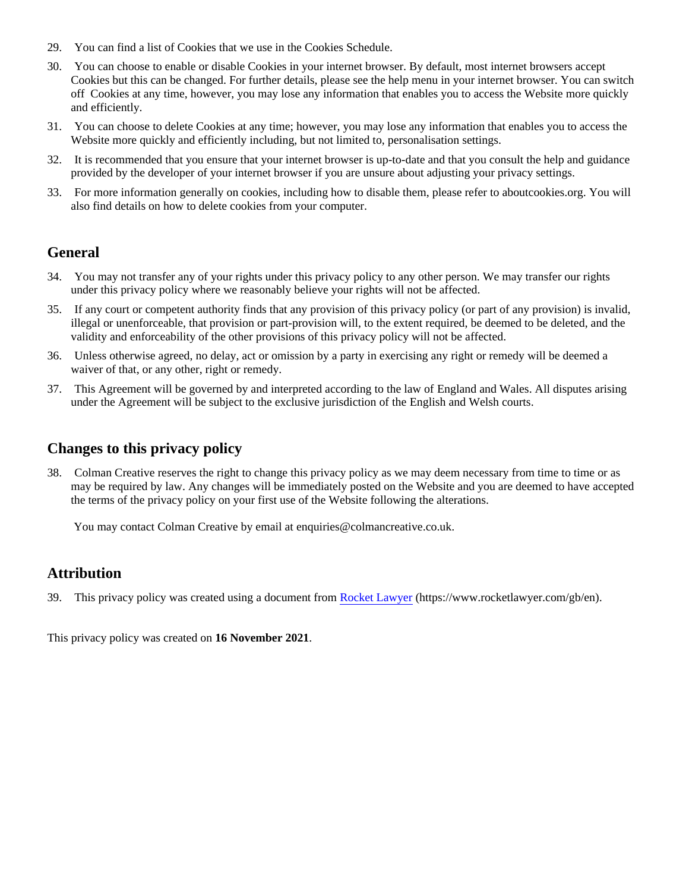- 29. You can find a list of Cookies that we use in the Cookies Schedule.
- 30. You can choose to enable or disable Cookies in your internet browser. By default, most internet browsers accept Cookies but this can be changed. For further details, please see the help menu in your internet browser. You can switch off Cookies at any time, however, you may lose any information that enables you to access the Website more quickly and efficiently.
- 31. You can choose to delete Cookies at any time; however, you may lose any information that enables you to access the Website more quickly and efficiently including, but not limited to, personalisation settings.
- 32. It is recommended that you ensure that your internet browser is up-to-date and that you consult the help and guidance provided by the developer of your internet browser if you are unsure about adjusting your privacy settings.
- 33. For more information generally on cookies, including how to disable them, please refer to aboutcookies.org. You will also find details on how to delete cookies from your computer.

### **General**

- 34. You may not transfer any of your rights under this privacy policy to any other person. We may transfer our rights under this privacy policy where we reasonably believe your rights will not be affected.
- 35. If any court or competent authority finds that any provision of this privacy policy (or part of any provision) is invalid, illegal or unenforceable, that provision or part-provision will, to the extent required, be deemed to be deleted, and the validity and enforceability of the other provisions of this privacy policy will not be affected.
- 36. Unless otherwise agreed, no delay, act or omission by a party in exercising any right or remedy will be deemed a waiver of that, or any other, right or remedy.
- 37. This Agreement will be governed by and interpreted according to the law of England and Wales. All disputes arising under the Agreement will be subject to the exclusive jurisdiction of the English and Welsh courts.

### **Changes to this privacy policy**

38. Colman Creative reserves the right to change this privacy policy as we may deem necessary from time to time or as may be required by law. Any changes will be immediately posted on the Website and you are deemed to have accepted the terms of the privacy policy on your first use of the Website following the alterations.

You may contact Colman Creative by email at enquiries@colmancreative.co.uk.

### **Attribution**

39. This privacy policy was created using a document from [Rocket Lawyer](https://www.rocketlawyer.com/gb/en/) (https://www.rocketlawyer.com/gb/en).

This privacy policy was created on **16 November 2021**.